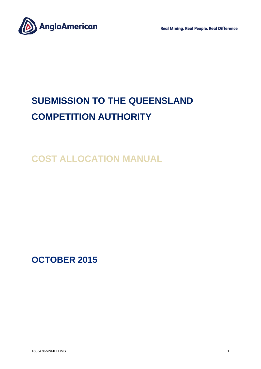**Real Mining. Real People. Real Difference.** 



# **SUBMISSION TO THE QUEENSLAND COMPETITION AUTHORITY**

**COST ALLOCATION MANUAL**

**OCTOBER 2015**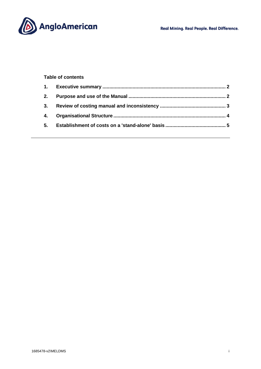



# **Table of contents**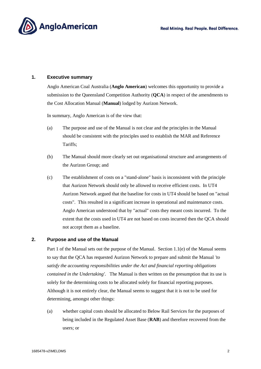

#### **1. Executive summary**

Anglo American Coal Australia (**Anglo American**) welcomes this opportunity to provide a submission to the Queensland Competition Authority (**QCA**) in respect of the amendments to the Cost Allocation Manual (**Manual**) lodged by Aurizon Network.

In summary, Anglo American is of the view that:

- (a) The purpose and use of the Manual is not clear and the principles in the Manual should be consistent with the principles used to establish the MAR and Reference Tariffs;
- (b) The Manual should more clearly set out organisational structure and arrangements of the Aurizon Group; and
- (c) The establishment of costs on a "stand-alone" basis is inconsistent with the principle that Aurizon Network should only be allowed to receive efficient costs. In UT4 Aurizon Network argued that the baseline for costs in UT4 should be based on "actual costs". This resulted in a significant increase in operational and maintenance costs. Anglo American understood that by "actual" costs they meant costs incurred. To the extent that the costs used in UT4 are not based on costs incurred then the QCA should not accept them as a baseline.

# **2. Purpose and use of the Manual**

Part 1 of the Manual sets out the purpose of the Manual. Section 1.1(e) of the Manual seems to say that the QCA has requested Aurizon Network to prepare and submit the Manual *'to satisfy the accounting responsibilities under the Act and financial reporting obligations contained in the Undertaking'*. The Manual is then written on the presumption that its use is solely for the determining costs to be allocated solely for financial reporting purposes. Although it is not entirely clear, the Manual seems to suggest that it is not to be used for determining, amongst other things:

(a) whether capital costs should be allocated to Below Rail Services for the purposes of being included in the Regulated Asset Base (**RAB**) and therefore recovered from the users; or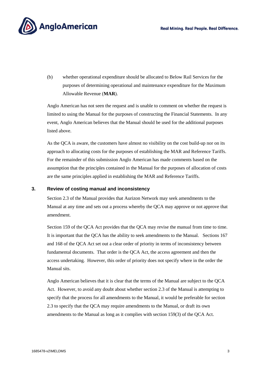

(b) whether operational expenditure should be allocated to Below Rail Services for the purposes of determining operational and maintenance expenditure for the Maximum Allowable Revenue (**MAR**).

Anglo American has not seen the request and is unable to comment on whether the request is limited to using the Manual for the purposes of constructing the Financial Statements. In any event, Anglo American believes that the Manual should be used for the additional purposes listed above.

As the QCA is aware, the customers have almost no visibility on the cost build-up nor on its approach to allocating costs for the purposes of establishing the MAR and Reference Tariffs. For the remainder of this submission Anglo American has made comments based on the assumption that the principles contained in the Manual for the purposes of allocation of costs are the same principles applied in establishing the MAR and Reference Tariffs.

### **3. Review of costing manual and inconsistency**

Section 2.3 of the Manual provides that Aurizon Network may seek amendments to the Manual at any time and sets out a process whereby the QCA may approve or not approve that amendment.

Section 159 of the QCA Act provides that the QCA may revise the manual from time to time. It is important that the QCA has the ability to seek amendments to the Manual. Sections 167 and 168 of the QCA Act set out a clear order of priority in terms of inconsistency between fundamental documents. That order is the QCA Act, the access agreement and then the access undertaking. However, this order of priority does not specify where in the order the Manual sits.

Anglo American believes that it is clear that the terms of the Manual are subject to the QCA Act. However, to avoid any doubt about whether section 2.3 of the Manual is attempting to specify that the process for all amendments to the Manual, it would be preferable for section 2.3 to specify that the QCA may require amendments to the Manual, or draft its own amendments to the Manual as long as it complies with section 159(3) of the QCA Act.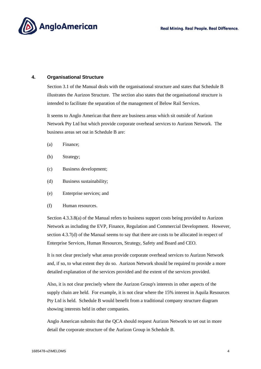

### **4. Organisational Structure**

Section 3.1 of the Manual deals with the organisational structure and states that Schedule B illustrates the Aurizon Structure. The section also states that the organisational structure is intended to facilitate the separation of the management of Below Rail Services.

It seems to Anglo American that there are business areas which sit outside of Aurizon Network Pty Ltd but which provide corporate overhead services to Aurizon Network. The business areas set out in Schedule B are:

- (a) Finance;
- (b) Strategy;
- (c) Business development;
- (d) Business sustainability;
- (e) Enterprise services; and
- (f) Human resources.

Section 4.3.3.8(a) of the Manual refers to business support costs being provided to Aurizon Network as including the EVP, Finance, Regulation and Commercial Development. However, section 4.3.7(d) of the Manual seems to say that there are costs to be allocated in respect of Enterprise Services, Human Resources, Strategy, Safety and Board and CEO.

It is not clear precisely what areas provide corporate overhead services to Aurizon Network and, if so, to what extent they do so. Aurizon Network should be required to provide a more detailed explanation of the services provided and the extent of the services provided.

Also, it is not clear precisely where the Aurizon Group's interests in other aspects of the supply chain are held. For example, it is not clear where the 15% interest in Aquila Resources Pty Ltd is held. Schedule B would benefit from a traditional company structure diagram showing interests held in other companies.

Anglo American submits that the QCA should request Aurizon Network to set out in more detail the corporate structure of the Aurizon Group in Schedule B.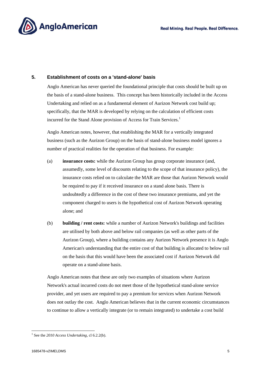

## **5. Establishment of costs on a 'stand-alone' basis**

Anglo American has never queried the foundational principle that costs should be built up on the basis of a stand-alone business. This concept has been historically included in the Access Undertaking and relied on as a fundamental element of Aurizon Network cost build up; specifically, that the MAR is developed by relying on the calculation of efficient costs incurred for the Stand Alone provision of Access for Train Services.<sup>1</sup>

Anglo American notes, however, that establishing the MAR for a vertically integrated business (such as the Aurizon Group) on the basis of stand-alone business model ignores a number of practical realities for the operation of that business. For example:

- (a) **insurance costs:** while the Aurizon Group has group corporate insurance (and, assumedly, some level of discounts relating to the scope of that insurance policy), the insurance costs relied on to calculate the MAR are those that Aurizon Network would be required to pay if it received insurance on a stand alone basis. There is undoubtedly a difference in the cost of these two insurance premiums, and yet the component charged to users is the hypothetical cost of Aurizon Network operating alone; and
- (b) **building / rent costs:** while a number of Aurizon Network's buildings and facilities are utilised by both above and below rail companies (as well as other parts of the Aurizon Group), where a building contains any Aurizon Network presence it is Anglo American's understanding that the entire cost of that building is allocated to below rail on the basis that this would have been the associated cost if Aurizon Network did operate on a stand-alone basis.

Anglo American notes that these are only two examples of situations where Aurizon Network's actual incurred costs do not meet those of the hypothetical stand-alone service provider, and yet users are required to pay a premium for services when Aurizon Network does not outlay the cost. Anglo American believes that in the current economic circumstances to continue to allow a vertically integrate (or to remain integrated) to undertake a cost build

 1 See the *2010 Access Undertaking*, cl 6.2.2(b).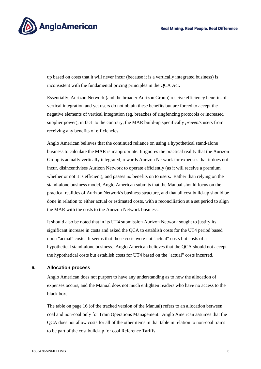

up based on costs that it will never incur (because it is a vertically integrated business) is inconsistent with the fundamental pricing principles in the QCA Act.

Essentially, Aurizon Network (and the broader Aurizon Group) receive efficiency benefits of vertical integration and yet users do not obtain these benefits but are forced to accept the negative elements of vertical integration (eg, breaches of ringfencing protocols or increased supplier power), in fact to the contrary, the MAR build-up specifically *prevents* users from receiving any benefits of efficiencies.

Anglo American believes that the continued reliance on using a hypothetical stand-alone business to calculate the MAR is inappropriate. It ignores the practical reality that the Aurizon Group is actually vertically integrated, rewards Aurizon Network for expenses that it does not incur, disincentivises Aurizon Network to operate efficiently (as it will receive a premium whether or not it is efficient), and passes no benefits on to users. Rather than relying on the stand-alone business model, Anglo American submits that the Manual should focus on the practical realities of Aurizon Network's business structure, and that all cost build-up should be done in relation to either actual or estimated costs, with a reconciliation at a set period to align the MAR with the costs to the Aurizon Network business.

It should also be noted that in its UT4 submission Aurizon Network sought to justify its significant increase in costs and asked the QCA to establish costs for the UT4 period based upon "actual" costs. It seems that those costs were not "actual" costs but costs of a hypothetical stand-alone business. Anglo American believes that the QCA should not accept the hypothetical costs but establish costs for UT4 based on the "actual" costs incurred.

#### **6. Allocation process**

Anglo American does not purport to have any understanding as to how the allocation of expenses occurs, and the Manual does not much enlighten readers who have no access to the black box.

The table on page 16 (of the tracked version of the Manual) refers to an allocation between coal and non-coal only for Train Operations Management. Anglo American assumes that the QCA does not allow costs for all of the other items in that table in relation to non-coal trains to be part of the cost build-up for coal Reference Tariffs.